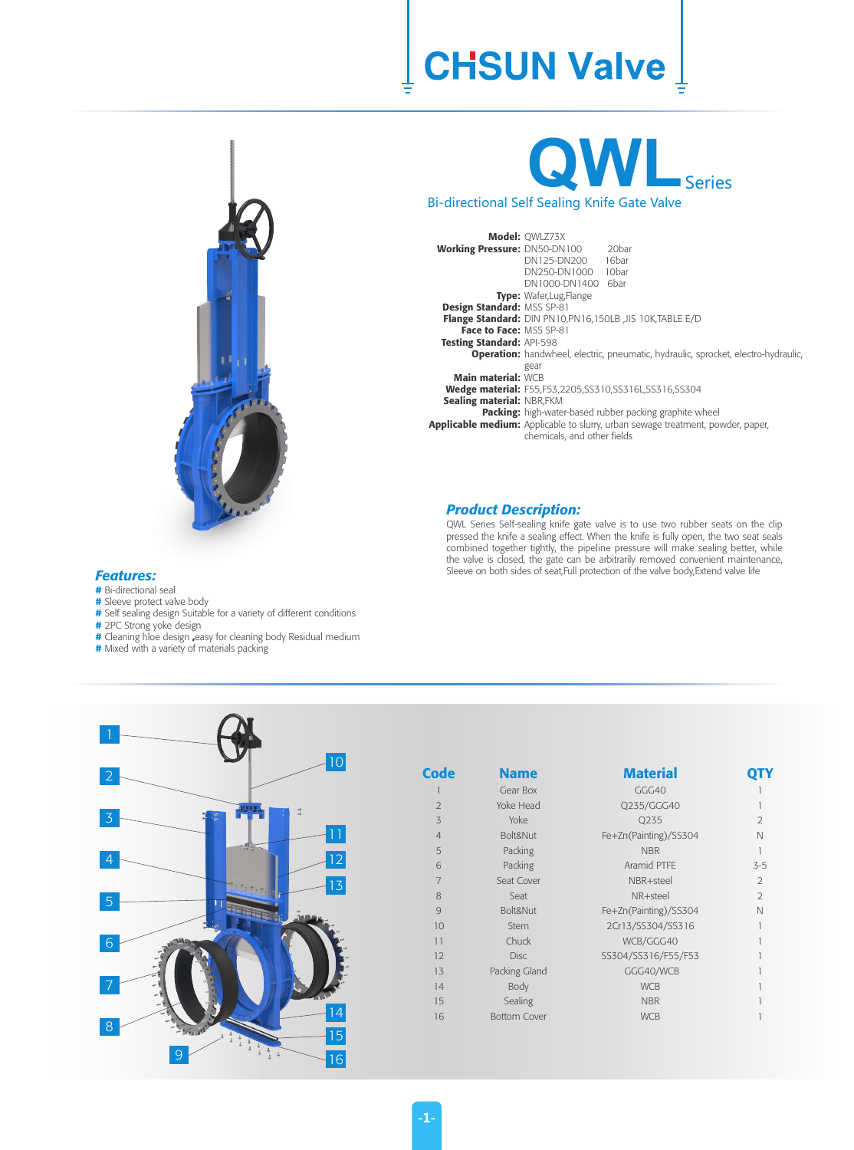### **CHSUN Valve**



# **QWL**Series

Bi-directional Self Sealing Knife Gate Valve

| <b>Working Pressure: DN50-DN100</b> | <b>Model: OWLZ73X</b><br>DN125-DN200 16bar<br>DN250-DN1000 10bar<br>DN1000-DN1400 6bar    | 20 <sub>b</sub> ar                                                                     |  |  |  |  |  |  |  |  |
|-------------------------------------|-------------------------------------------------------------------------------------------|----------------------------------------------------------------------------------------|--|--|--|--|--|--|--|--|
|                                     | Type: Wafer, Lug, Flange                                                                  |                                                                                        |  |  |  |  |  |  |  |  |
| Design Standard: MSS SP-81          |                                                                                           |                                                                                        |  |  |  |  |  |  |  |  |
|                                     | Flange Standard: DIN PN10, PN16, 150LB , JIS 10K, TABLE E/D                               |                                                                                        |  |  |  |  |  |  |  |  |
| Face to Face: MSS SP-81             |                                                                                           |                                                                                        |  |  |  |  |  |  |  |  |
| <b>Testing Standard: API-598</b>    |                                                                                           |                                                                                        |  |  |  |  |  |  |  |  |
|                                     | <b>Operation:</b> handwheel, electric, pneumatic, hydraulic, sprocket, electro-hydraulic, |                                                                                        |  |  |  |  |  |  |  |  |
| <b>Main material: WCB</b>           | gear                                                                                      |                                                                                        |  |  |  |  |  |  |  |  |
|                                     | <b>Wedge material:</b> F55,F53,2205,SS310,SS316L,SS316,SS304                              |                                                                                        |  |  |  |  |  |  |  |  |
| Sealing material: NBR,FKM           |                                                                                           |                                                                                        |  |  |  |  |  |  |  |  |
|                                     | <b>Packing:</b> high-water-based rubber packing graphite wheel                            |                                                                                        |  |  |  |  |  |  |  |  |
|                                     | chemicals, and other fields                                                               | <b>Applicable medium:</b> Applicable to slurry, urban sewage treatment, powder, paper, |  |  |  |  |  |  |  |  |

#### *Product Description:*

QWL Series Self-sealing knife gate valve is to use two rubber seats on the clip pressed the knife a sealing effect. When the knife is fully open, the two seat seals combined together tightly, the pipeline pressure will make sealing better, while the valve is closed, the gate can be arbitrarily removed convenient maintenance, Sleeve on both sides of seat,Full protection of the valve body,Extend valve life

#### *Features:*

- **#** Bi-directional seal
- **#** Sleeve protect valve body
- **#** Self sealing design Suitable for a variety of different conditions
- **#** 2PC Strong yoke design
- **#** Cleaning hloe design **,**easy for cleaning body Residual medium
- **#** Mixed with a variety of materials packing



| Code           | <b>Name</b>         | <b>Material</b>       |                |
|----------------|---------------------|-----------------------|----------------|
|                | Gear Box            | GGG40                 |                |
| $\overline{2}$ | Yoke Head           | Q235/GGG40            |                |
| 3              | Yoke                | Q235                  | $\overline{2}$ |
| $\overline{4}$ | Bolt&Nut            | Fe+Zn(Painting)/SS304 | N              |
| 5              | Packing             | <b>NBR</b>            | 1              |
| 6              | Packing             | Aramid PTFE           | $3 - 5$        |
| 7              | Seat Cover          | NBR+steel             | 2              |
| 8              | Seat                | NR+steel              | 2              |
| 9              | Bolt&Nut            | Fe+Zn(Painting)/SS304 | N              |
| 10             | Stem                | 2Cr13/SS304/SS316     | 1              |
| 11             | Chuck               | WCB/GGG40             |                |
| 12             | Disc.               | SS304/SS316/F55/F53   |                |
| 13             | Packing Gland       | GGG40/WCB             |                |
| 14             | Body                | <b>WCB</b>            |                |
| 15             | Sealing             | <b>NBR</b>            |                |
| 16             | <b>Bottom Cover</b> | <b>WCB</b>            |                |